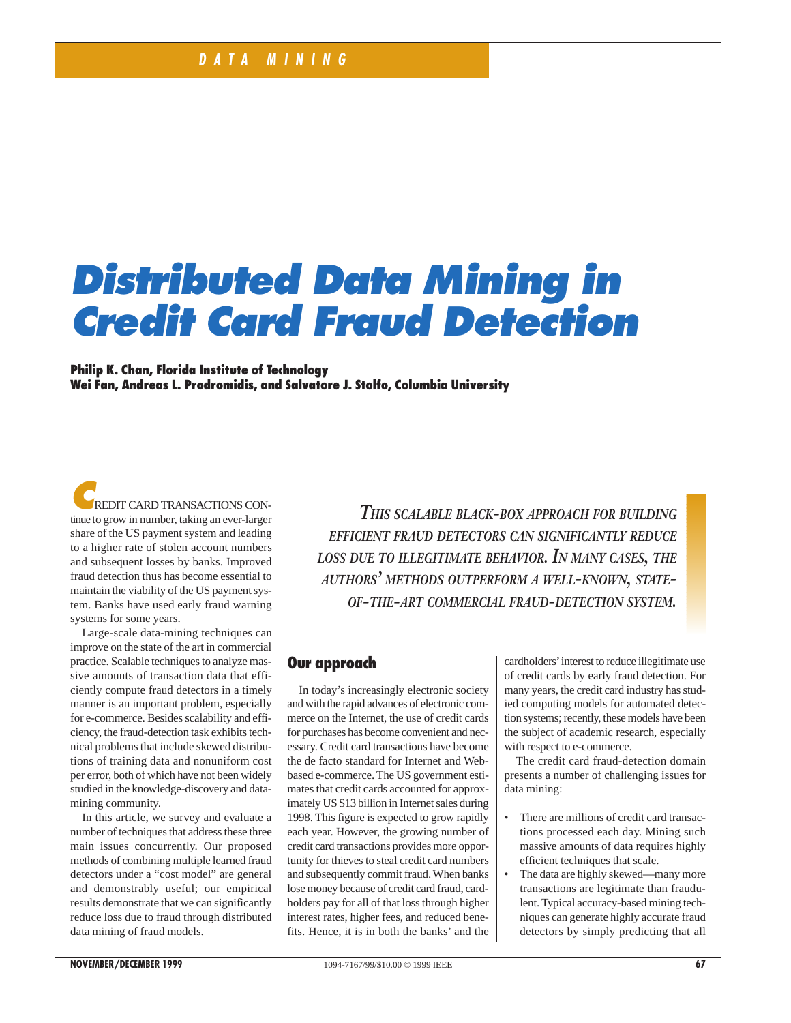# **Distributed Data Mining in Credit Card Fraud Detection**

**Philip K. Chan, Florida Institute of Technology Wei Fan, Andreas L. Prodromidis, and Salvatore J. Stolfo, Columbia University** 

**REDIT CARD TRANSACTIONS CON**tinue to grow in number, taking an ever-larger share of the US payment system and leading to a higher rate of stolen account numbers and subsequent losses by banks. Improved fraud detection thus has become essential to maintain the viability of the US payment system. Banks have used early fraud warning systems for some years.

Large-scale data-mining techniques can improve on the state of the art in commercial practice. Scalable techniques to analyze massive amounts of transaction data that efficiently compute fraud detectors in a timely manner is an important problem, especially for e-commerce. Besides scalability and efficiency, the fraud-detection task exhibits technical problems that include skewed distributions of training data and nonuniform cost per error, both of which have not been widely studied in the knowledge-discovery and datamining community.

In this article, we survey and evaluate a number of techniques that address these three main issues concurrently. Our proposed methods of combining multiple learned fraud detectors under a "cost model" are general and demonstrably useful; our empirical results demonstrate that we can significantly reduce loss due to fraud through distributed data mining of fraud models.

*THIS SCALABLE BLACK-BOX APPROACH FOR BUILDING EFFICIENT FRAUD DETECTORS CAN SIGNIFICANTLY REDUCE LOSS DUE TO ILLEGITIMATE BEHAVIOR. IN MANY CASES, THE AUTHORS' METHODS OUTPERFORM A WELL-KNOWN, STATE-OF-THE-ART COMMERCIAL FRAUD-DETECTION SYSTEM.*

## **Our approach**

In today's increasingly electronic society and with the rapid advances of electronic commerce on the Internet, the use of credit cards for purchases has become convenient and necessary. Credit card transactions have become the de facto standard for Internet and Webbased e-commerce. The US government estimates that credit cards accounted for approximately US \$13 billion in Internet sales during 1998. This figure is expected to grow rapidly each year. However, the growing number of credit card transactions provides more opportunity for thieves to steal credit card numbers and subsequently commit fraud. When banks lose money because of credit card fraud, cardholders pay for all of that loss through higher interest rates, higher fees, and reduced benefits. Hence, it is in both the banks' and the cardholders'interest to reduce illegitimate use of credit cards by early fraud detection. For many years, the credit card industry has studied computing models for automated detection systems; recently, these models have been the subject of academic research, especially with respect to e-commerce.

The credit card fraud-detection domain presents a number of challenging issues for data mining:

- There are millions of credit card transactions processed each day. Mining such massive amounts of data requires highly efficient techniques that scale.
- The data are highly skewed—many more transactions are legitimate than fraudulent. Typical accuracy-based mining techniques can generate highly accurate fraud detectors by simply predicting that all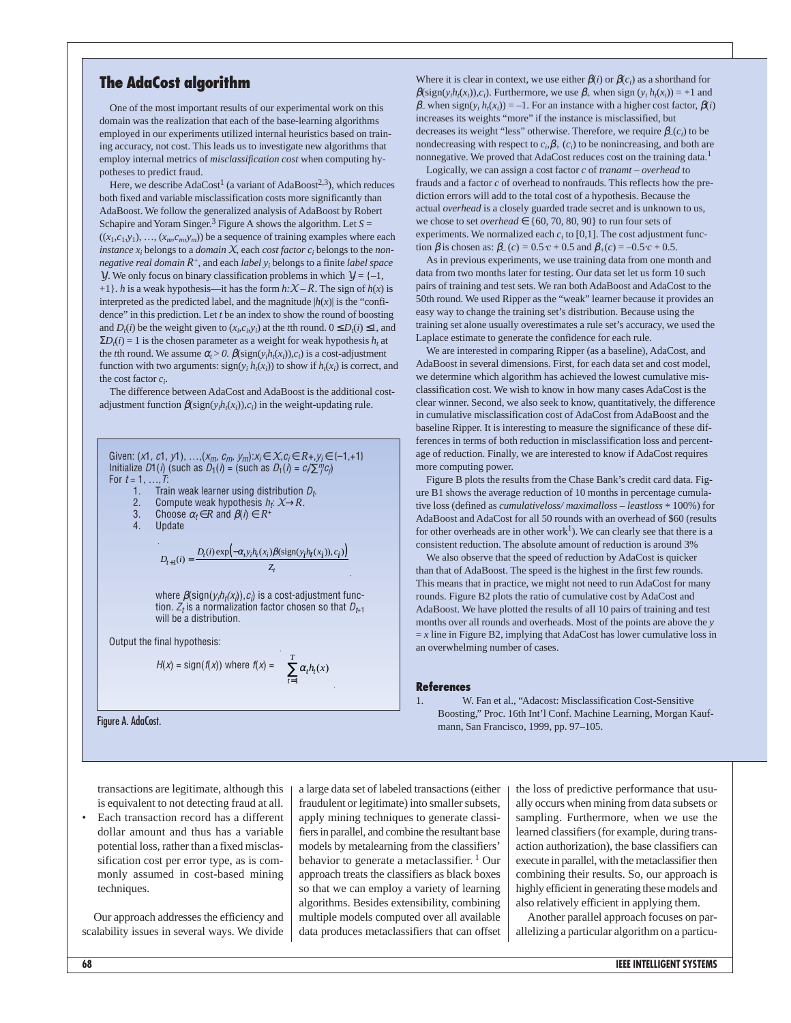#### **The AdaCost algorithm**

One of the most important results of our experimental work on this domain was the realization that each of the base-learning algorithms employed in our experiments utilized internal heuristics based on training accuracy, not cost. This leads us to investigate new algorithms that employ internal metrics of *misclassification cost* when computing hypotheses to predict fraud.

Here, we describe  $AdaCost<sup>1</sup>$  (a variant of  $AdaBoost<sup>2,3</sup>$ ), which reduces both fixed and variable misclassification costs more significantly than AdaBoost. We follow the generalized analysis of AdaBoost by Robert Schapire and Yoram Singer.<sup>3</sup> Figure A shows the algorithm. Let  $S =$  $((x_1, c_1, y_1), ..., (x_m, c_m, y_m))$  be a sequence of training examples where each *instance*  $x_i$  belongs to a *domain*  $X$ , each *cost factor*  $c_i$  belongs to the *nonnegative real domain R*+, and each *label yi* belongs to a finite *label space Y*. We only focus on binary classification problems in which  $Y = \{-1, \}$ +1}. *h* is a weak hypothesis—it has the form  $h:\mathcal{X} - R$ . The sign of  $h(x)$  is interpreted as the predicted label, and the magnitude  $|h(x)|$  is the "confidence" in this prediction. Let *t* be an index to show the round of boosting and  $D_t(i)$  be the weight given to  $(x_i, c_i, y_i)$  at the *t*th round.  $0 \le D_t(i) \le 1$ , and  $\Sigma D_t(i) = 1$  is the chosen parameter as a weight for weak hypothesis  $h_t$  at the *t*th round. We assume  $\alpha_t > 0$ .  $\beta(\text{sign}(y_i h_t(x_i)), c_i)$  is a cost-adjustment function with two arguments:  $sign(y_i h_i(x_i))$  to show if  $h_i(x_i)$  is correct, and the cost factor *ci* .

The difference between AdaCost and AdaBoost is the additional costadjustment function  $\beta$ (sign( $y_i h_i(x_i)$ ), $c_i$ ) in the weight-updating rule.

Given: 
$$
(x_1, c_1, y_1), \ldots, (x_m, c_m, y_m): x_j \in X, c_j \in R+, y_j \in \{-1, +1\}
$$
  
Initialize  $D1()$  (such as  $D_1()$  = (such as  $D_1()$  =  $c/\sum T_j c_j$ )  
For  $t = 1, \ldots, T$ :  
1. Train weak learner using distribution  $D_t$ .  
2. Compute weak hypothesis  $h_t \times \rightarrow R$ .  
3. Choose  $\alpha_t \in R$  and  $\beta()$   $\in R^+$   
4. Update  

$$
D_{t+1}(i) = \frac{D_t(i) \exp(-\alpha_t y_i h_t(x_i)) \beta(\text{sign}(y_i h_t(x_i)), c_i)}{Z}
$$

where 
$$
\beta(\text{sign}(y_i h_i(x_i)), c_i)
$$
 is a cost-adjustment function.  $Z_t$  is a normalization factor chosen so that  $D_{t+1}$  will be a distribution.

*t*

 $\overline{ }$  $\overline{1}$ 

Output the final hypothesis:

$$
H(x) = sign(f(x)) \text{ where } f(x) = \left(\sum_{t=1}^{T} \alpha_t h_t(x)\right)
$$

 $Z$ 

Where it is clear in context, we use either  $\beta(i)$  or  $\beta(c_i)$  as a shorthand for  $\beta$ (sign(*y<sub>i</sub>h<sub>t</sub>*(*x<sub>i</sub>*)),*c<sub>i</sub>*). Furthermore, we use  $\beta_+$  when sign (*y<sub>i</sub>*  $h_t(x_i)$ ) = +1 and  $\beta$ <sub>-</sub> when sign( $y_i h_t(x_i)$ ) = -1. For an instance with a higher cost factor,  $\beta(i)$ increases its weights "more" if the instance is misclassified, but decreases its weight "less" otherwise. Therefore, we require  $\beta_{-}(c_i)$  to be nondecreasing with respect to  $c_i$ ,  $\beta_+$  ( $c_i$ ) to be nonincreasing, and both are nonnegative. We proved that AdaCost reduces cost on the training data.<sup>1</sup>

Logically, we can assign a cost factor *c* of *tranamt – overhead* to frauds and a factor *c* of overhead to nonfrauds. This reflects how the prediction errors will add to the total cost of a hypothesis. Because the actual *overhead* is a closely guarded trade secret and is unknown to us, we chose to set *overhead*  $\in \{60, 70, 80, 90\}$  to run four sets of experiments. We normalized each  $c_i$  to  $[0,1]$ . The cost adjustment function  $\beta$  is chosen as:  $\beta_{-}(c) = 0.5 \cdot c + 0.5$  and  $\beta_{+}(c) = -0.5 \cdot c + 0.5$ .

As in previous experiments, we use training data from one month and data from two months later for testing. Our data set let us form 10 such pairs of training and test sets. We ran both AdaBoost and AdaCost to the 50th round. We used Ripper as the "weak" learner because it provides an easy way to change the training set's distribution. Because using the training set alone usually overestimates a rule set's accuracy, we used the Laplace estimate to generate the confidence for each rule.

We are interested in comparing Ripper (as a baseline), AdaCost, and AdaBoost in several dimensions. First, for each data set and cost model, we determine which algorithm has achieved the lowest cumulative misclassification cost. We wish to know in how many cases AdaCost is the clear winner. Second, we also seek to know, quantitatively, the difference in cumulative misclassification cost of AdaCost from AdaBoost and the baseline Ripper. It is interesting to measure the significance of these differences in terms of both reduction in misclassification loss and percentage of reduction. Finally, we are interested to know if AdaCost requires more computing power.

Figure B plots the results from the Chase Bank's credit card data. Figure B1 shows the average reduction of 10 months in percentage cumulative loss (defined as *cumulativeloss/ maximalloss – leastloss* \* 100%) for AdaBoost and AdaCost for all 50 rounds with an overhead of \$60 (results for other overheads are in other work<sup>1</sup>). We can clearly see that there is a consistent reduction. The absolute amount of reduction is around 3%

We also observe that the speed of reduction by AdaCost is quicker than that of AdaBoost. The speed is the highest in the first few rounds. This means that in practice, we might not need to run AdaCost for many rounds. Figure B2 plots the ratio of cumulative cost by AdaCost and AdaBoost. We have plotted the results of all 10 pairs of training and test months over all rounds and overheads. Most of the points are above the *y*  $= x$  line in Figure B2, implying that AdaCost has lower cumulative loss in an overwhelming number of cases.

#### **References**

W. Fan et al., "Adacost: Misclassification Cost-Sensitive Boosting," Proc. 16th Int'l Conf. Machine Learning, Morgan Kauf-Figure A. AdaCost.<br>mann, San Francisco, 1999, pp. 97–105.

transactions are legitimate, although this is equivalent to not detecting fraud at all.

Each transaction record has a different dollar amount and thus has a variable potential loss, rather than a fixed misclassification cost per error type, as is commonly assumed in cost-based mining techniques.

Our approach addresses the efficiency and scalability issues in several ways. We divide a large data set of labeled transactions (either fraudulent or legitimate) into smaller subsets, apply mining techniques to generate classifiers in parallel, and combine the resultant base models by metalearning from the classifiers' behavior to generate a metaclassifier.<sup>1</sup> Our approach treats the classifiers as black boxes so that we can employ a variety of learning algorithms. Besides extensibility, combining multiple models computed over all available data produces metaclassifiers that can offset the loss of predictive performance that usually occurs when mining from data subsets or sampling. Furthermore, when we use the learned classifiers (for example, during transaction authorization), the base classifiers can execute in parallel, with the metaclassifier then combining their results. So, our approach is highly efficient in generating these models and also relatively efficient in applying them.

Another parallel approach focuses on parallelizing a particular algorithm on a particu-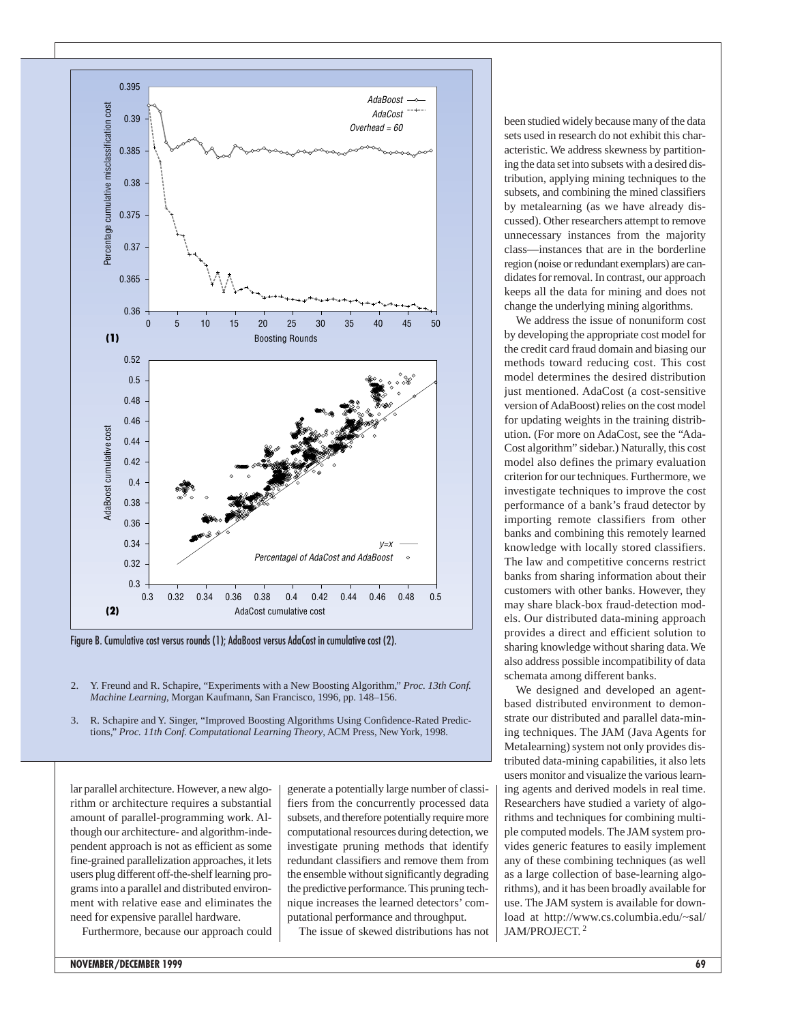

Figure B. Cumulative cost versus rounds (1); AdaBoost versus AdaCost in cumulative cost (2).

- 2. Y. Freund and R. Schapire, "Experiments with a New Boosting Algorithm," *Proc. 13th Conf. Machine Learning*, Morgan Kaufmann, San Francisco, 1996, pp. 148–156.
- 3. R. Schapire and Y. Singer, "Improved Boosting Algorithms Using Confidence-Rated Predictions," *Proc. 11th Conf. Computational Learning Theory*, ACM Press, New York, 1998.

lar parallel architecture. However, a new algorithm or architecture requires a substantial amount of parallel-programming work. Although our architecture- and algorithm-independent approach is not as efficient as some fine-grained parallelization approaches, it lets users plug different off-the-shelf learning programs into a parallel and distributed environment with relative ease and eliminates the need for expensive parallel hardware.

Furthermore, because our approach could

generate a potentially large number of classifiers from the concurrently processed data subsets, and therefore potentially require more computational resources during detection, we investigate pruning methods that identify redundant classifiers and remove them from the ensemble without significantly degrading the predictive performance. This pruning technique increases the learned detectors' computational performance and throughput.

The issue of skewed distributions has not

been studied widely because many of the data sets used in research do not exhibit this characteristic. We address skewness by partitioning the data set into subsets with a desired distribution, applying mining techniques to the subsets, and combining the mined classifiers by metalearning (as we have already discussed). Other researchers attempt to remove unnecessary instances from the majority class—instances that are in the borderline region (noise or redundant exemplars) are candidates for removal. In contrast, our approach keeps all the data for mining and does not change the underlying mining algorithms.

We address the issue of nonuniform cost by developing the appropriate cost model for the credit card fraud domain and biasing our methods toward reducing cost. This cost model determines the desired distribution just mentioned. AdaCost (a cost-sensitive version of AdaBoost) relies on the cost model for updating weights in the training distribution. (For more on AdaCost, see the "Ada-Cost algorithm" sidebar.) Naturally, this cost model also defines the primary evaluation criterion for our techniques. Furthermore, we investigate techniques to improve the cost performance of a bank's fraud detector by importing remote classifiers from other banks and combining this remotely learned knowledge with locally stored classifiers. The law and competitive concerns restrict banks from sharing information about their customers with other banks. However, they may share black-box fraud-detection models. Our distributed data-mining approach provides a direct and efficient solution to sharing knowledge without sharing data. We also address possible incompatibility of data schemata among different banks.

We designed and developed an agentbased distributed environment to demonstrate our distributed and parallel data-mining techniques. The JAM (Java Agents for Metalearning) system not only provides distributed data-mining capabilities, it also lets users monitor and visualize the various learning agents and derived models in real time. Researchers have studied a variety of algorithms and techniques for combining multiple computed models. The JAM system provides generic features to easily implement any of these combining techniques (as well as a large collection of base-learning algorithms), and it has been broadly available for use. The JAM system is available for download at http://www.cs.columbia.edu/~sal/ JAM/PROJECT. <sup>2</sup>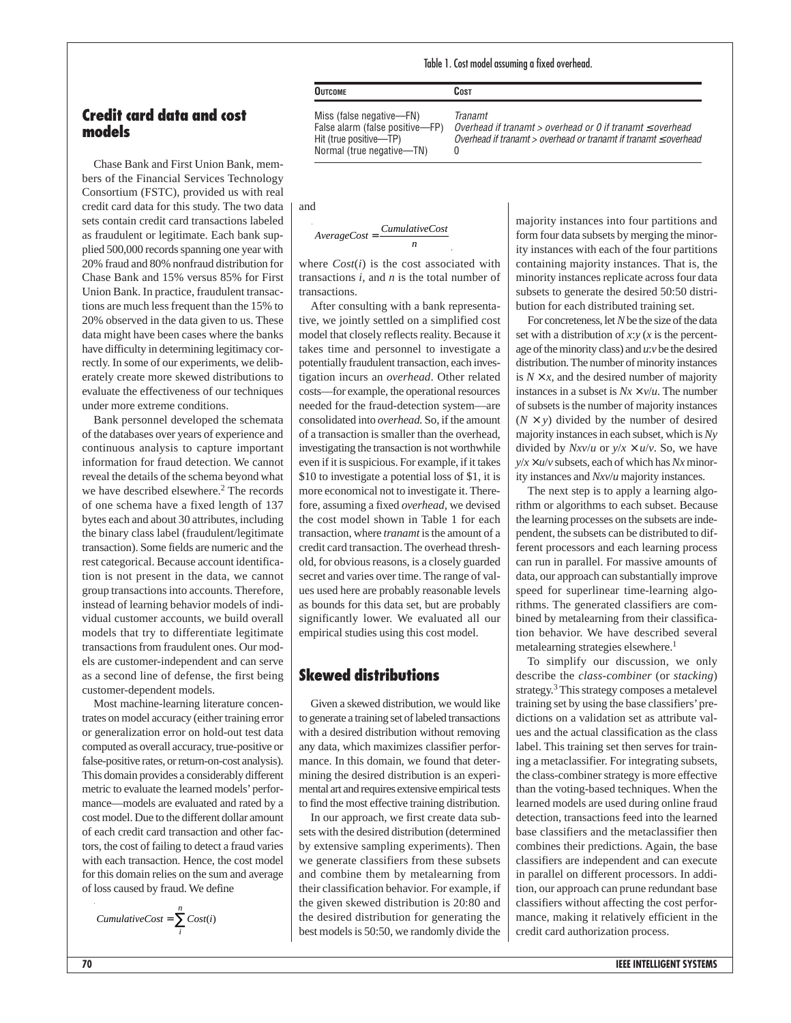#### Table 1. Cost model assuming a fixed overhead.

### **Credit card data and cost models**

Chase Bank and First Union Bank, members of the Financial Services Technology Consortium (FSTC), provided us with real credit card data for this study. The two data sets contain credit card transactions labeled as fraudulent or legitimate. Each bank supplied 500,000 records spanning one year with 20% fraud and 80% nonfraud distribution for Chase Bank and 15% versus 85% for First Union Bank. In practice, fraudulent transactions are much less frequent than the 15% to 20% observed in the data given to us. These data might have been cases where the banks have difficulty in determining legitimacy correctly. In some of our experiments, we deliberately create more skewed distributions to evaluate the effectiveness of our techniques under more extreme conditions.

Bank personnel developed the schemata of the databases over years of experience and continuous analysis to capture important information for fraud detection. We cannot reveal the details of the schema beyond what we have described elsewhere.<sup>2</sup> The records of one schema have a fixed length of 137 bytes each and about 30 attributes, including the binary class label (fraudulent/legitimate transaction). Some fields are numeric and the rest categorical. Because account identification is not present in the data, we cannot group transactions into accounts. Therefore, instead of learning behavior models of individual customer accounts, we build overall models that try to differentiate legitimate transactions from fraudulent ones. Our models are customer-independent and can serve as a second line of defense, the first being customer-dependent models.

Most machine-learning literature concentrates on model accuracy (either training error or generalization error on hold-out test data computed as overall accuracy, true-positive or false-positive rates, or return-on-cost analysis). This domain provides a considerably different metric to evaluate the learned models'performance—models are evaluated and rated by a cost model. Due to the different dollar amount of each credit card transaction and other factors, the cost of failing to detect a fraud varies with each transaction. Hence, the cost model for this domain relies on the sum and average of loss caused by fraud. We define

 $CumulativeCost = \sum_{i=1}^{n} Cost(i)$ *i*

Normal (true negative—TN) 0

**OUTCOME COST**

**Tranamt** Overhead if tranamt > overhead or 0 if tranamt  $\leq$  overhead Overhead if tranamt > overhead or tranamt if tranamt  $\leq$  overhead

and

$$
AverageCost = \frac{CumulativeCost}{n}
$$

where  $Cost(i)$  is the cost associated with transactions *i*, and *n* is the total number of transactions.

After consulting with a bank representative, we jointly settled on a simplified cost model that closely reflects reality. Because it takes time and personnel to investigate a potentially fraudulent transaction, each investigation incurs an *overhead*. Other related costs—for example, the operational resources needed for the fraud-detection system—are consolidated into *overhead.* So, if the amount of a transaction is smaller than the overhead, investigating the transaction is not worthwhile even if it is suspicious. For example, if it takes \$10 to investigate a potential loss of \$1, it is more economical not to investigate it. Therefore, assuming a fixed *overhead,* we devised the cost model shown in Table 1 for each transaction, where *tranamt* is the amount of a credit card transaction. The overhead threshold, for obvious reasons, is a closely guarded secret and varies over time. The range of values used here are probably reasonable levels as bounds for this data set, but are probably significantly lower. We evaluated all our empirical studies using this cost model.

## **Skewed distributions**

Given a skewed distribution, we would like to generate a training set of labeled transactions with a desired distribution without removing any data, which maximizes classifier performance. In this domain, we found that determining the desired distribution is an experimental art and requires extensive empirical tests to find the most effective training distribution.

In our approach, we first create data subsets with the desired distribution (determined by extensive sampling experiments). Then we generate classifiers from these subsets and combine them by metalearning from their classification behavior. For example, if the given skewed distribution is 20:80 and the desired distribution for generating the best models is 50:50, we randomly divide the

majority instances into four partitions and form four data subsets by merging the minority instances with each of the four partitions containing majority instances. That is, the minority instances replicate across four data subsets to generate the desired 50:50 distribution for each distributed training set.

For concreteness, let *N*be the size of the data set with a distribution of *x*:*y* (*x* is the percentage of the minority class) and *u*:*v* be the desired distribution. The number of minority instances is  $N \times x$ , and the desired number of majority instances in a subset is  $Nx \times v/u$ . The number of subsets is the number of majority instances  $(N \times y)$  divided by the number of desired majority instances in each subset, which is *Ny* divided by  $Nxv/u$  or  $y/x \times u/v$ . So, we have  $y/x \times u/v$  subsets, each of which has *Nx* minority instances and *Nxv*/*u* majority instances.

The next step is to apply a learning algorithm or algorithms to each subset. Because the learning processes on the subsets are independent, the subsets can be distributed to different processors and each learning process can run in parallel. For massive amounts of data, our approach can substantially improve speed for superlinear time-learning algorithms. The generated classifiers are combined by metalearning from their classification behavior. We have described several metalearning strategies elsewhere.<sup>1</sup>

To simplify our discussion, we only describe the *class-combiner* (or *stacking*) strategy.3 This strategy composes a metalevel training set by using the base classifiers'predictions on a validation set as attribute values and the actual classification as the class label. This training set then serves for training a metaclassifier. For integrating subsets, the class-combiner strategy is more effective than the voting-based techniques. When the learned models are used during online fraud detection, transactions feed into the learned base classifiers and the metaclassifier then combines their predictions. Again, the base classifiers are independent and can execute in parallel on different processors. In addition, our approach can prune redundant base classifiers without affecting the cost performance, making it relatively efficient in the credit card authorization process.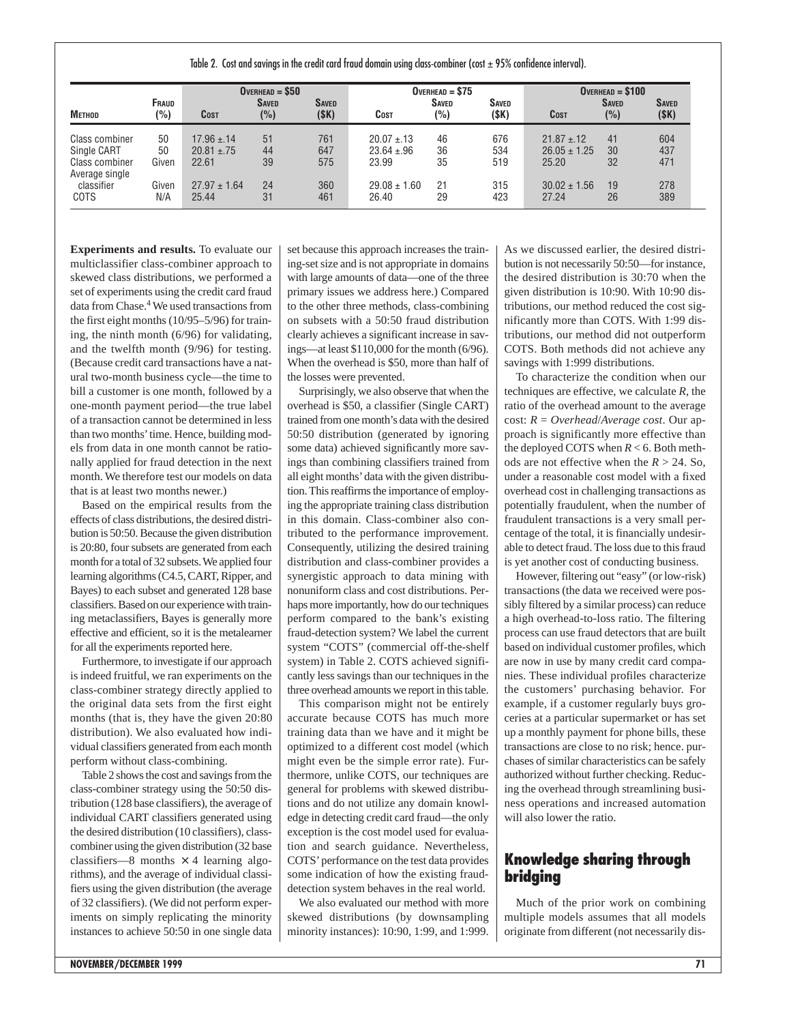Table 2. Cost and savings in the credit card fraud domain using class-combiner (cost  $\pm$  95% confidence interval).

| Метнор                           | Fraud<br>(%) | $OVERHEAD = $50$          |                     |                       | $OVERHEAD = $75$          |                     |                       | $OVERHEAD = $100$         |                     |                      |
|----------------------------------|--------------|---------------------------|---------------------|-----------------------|---------------------------|---------------------|-----------------------|---------------------------|---------------------|----------------------|
|                                  |              | <b>COST</b>               | <b>SAVED</b><br>(%) | <b>SAVED</b><br>(\$K) | <b>COST</b>               | <b>SAVED</b><br>(%) | <b>SAVED</b><br>(\$K) | Cost                      | <b>SAVED</b><br>(%) | <b>SAVED</b><br>(SK) |
| Class combiner                   | 50           | $17.96 \pm 14$            | 51                  | 761                   | $20.07 \pm 13$            | 46                  | 676                   | $21.87 \pm 12$            | 41                  | 604                  |
| Single CART                      | 50           | $20.81 \pm .75$           | 44                  | 647                   | $23.64 \pm .96$           | 36                  | 534                   | $26.05 \pm 1.25$          | 30                  | 437                  |
| Class combiner<br>Average single | Given        | 22.61                     | 39                  | 575                   | 23.99                     | 35                  | 519                   | 25.20                     | 32                  | 471                  |
| classifier<br>COTS               | Given<br>N/A | $27.97 \pm 1.64$<br>25.44 | 24<br>31            | 360<br>461            | $29.08 \pm 1.60$<br>26.40 | 21<br>29            | 315<br>423            | $30.02 \pm 1.56$<br>27.24 | 19<br>26            | 278<br>389           |

**Experiments and results.** To evaluate our multiclassifier class-combiner approach to skewed class distributions, we performed a set of experiments using the credit card fraud data from Chase.4We used transactions from the first eight months (10/95–5/96) for training, the ninth month (6/96) for validating, and the twelfth month (9/96) for testing. (Because credit card transactions have a natural two-month business cycle—the time to bill a customer is one month, followed by a one-month payment period—the true label of a transaction cannot be determined in less than two months' time. Hence, building models from data in one month cannot be rationally applied for fraud detection in the next month. We therefore test our models on data that is at least two months newer.)

Based on the empirical results from the effects of class distributions, the desired distribution is 50:50. Because the given distribution is 20:80, four subsets are generated from each month for a total of 32 subsets. We applied four learning algorithms (C4.5, CART, Ripper, and Bayes) to each subset and generated 128 base classifiers. Based on our experience with training metaclassifiers, Bayes is generally more effective and efficient, so it is the metalearner for all the experiments reported here.

Furthermore, to investigate if our approach is indeed fruitful, we ran experiments on the class-combiner strategy directly applied to the original data sets from the first eight months (that is, they have the given 20:80 distribution). We also evaluated how individual classifiers generated from each month perform without class-combining.

Table 2 shows the cost and savings from the class-combiner strategy using the 50:50 distribution (128 base classifiers), the average of individual CART classifiers generated using the desired distribution (10 classifiers), classcombiner using the given distribution (32 base classifiers—8 months  $\times$  4 learning algorithms), and the average of individual classifiers using the given distribution (the average of 32 classifiers). (We did not perform experiments on simply replicating the minority instances to achieve 50:50 in one single data

set because this approach increases the training-set size and is not appropriate in domains with large amounts of data—one of the three primary issues we address here.) Compared to the other three methods, class-combining on subsets with a 50:50 fraud distribution clearly achieves a significant increase in savings—at least \$110,000 for the month (6/96). When the overhead is \$50, more than half of the losses were prevented.

Surprisingly, we also observe that when the overhead is \$50, a classifier (Single CART) trained from one month's data with the desired 50:50 distribution (generated by ignoring some data) achieved significantly more savings than combining classifiers trained from all eight months'data with the given distribution. This reaffirms the importance of employing the appropriate training class distribution in this domain. Class-combiner also contributed to the performance improvement. Consequently, utilizing the desired training distribution and class-combiner provides a synergistic approach to data mining with nonuniform class and cost distributions. Perhaps more importantly, how do our techniques perform compared to the bank's existing fraud-detection system? We label the current system "COTS" (commercial off-the-shelf system) in Table 2. COTS achieved significantly less savings than our techniques in the three overhead amounts we report in this table.

This comparison might not be entirely accurate because COTS has much more training data than we have and it might be optimized to a different cost model (which might even be the simple error rate). Furthermore, unlike COTS, our techniques are general for problems with skewed distributions and do not utilize any domain knowledge in detecting credit card fraud—the only exception is the cost model used for evaluation and search guidance. Nevertheless, COTS' performance on the test data provides some indication of how the existing frauddetection system behaves in the real world.

We also evaluated our method with more skewed distributions (by downsampling minority instances): 10:90, 1:99, and 1:999. As we discussed earlier, the desired distribution is not necessarily 50:50—for instance, the desired distribution is 30:70 when the given distribution is 10:90. With 10:90 distributions, our method reduced the cost significantly more than COTS. With 1:99 distributions, our method did not outperform COTS. Both methods did not achieve any savings with 1:999 distributions.

To characterize the condition when our techniques are effective, we calculate *R*, the ratio of the overhead amount to the average cost: *R* = *Overhead*/*Average cost*. Our approach is significantly more effective than the deployed COTS when *R* < 6. Both methods are not effective when the  $R > 24$ . So, under a reasonable cost model with a fixed overhead cost in challenging transactions as potentially fraudulent, when the number of fraudulent transactions is a very small percentage of the total, it is financially undesirable to detect fraud. The loss due to this fraud is yet another cost of conducting business.

However, filtering out "easy" (or low-risk) transactions (the data we received were possibly filtered by a similar process) can reduce a high overhead-to-loss ratio. The filtering process can use fraud detectors that are built based on individual customer profiles, which are now in use by many credit card companies. These individual profiles characterize the customers' purchasing behavior. For example, if a customer regularly buys groceries at a particular supermarket or has set up a monthly payment for phone bills, these transactions are close to no risk; hence. purchases of similar characteristics can be safely authorized without further checking. Reducing the overhead through streamlining business operations and increased automation will also lower the ratio.

## **Knowledge sharing through bridging**

Much of the prior work on combining multiple models assumes that all models originate from different (not necessarily dis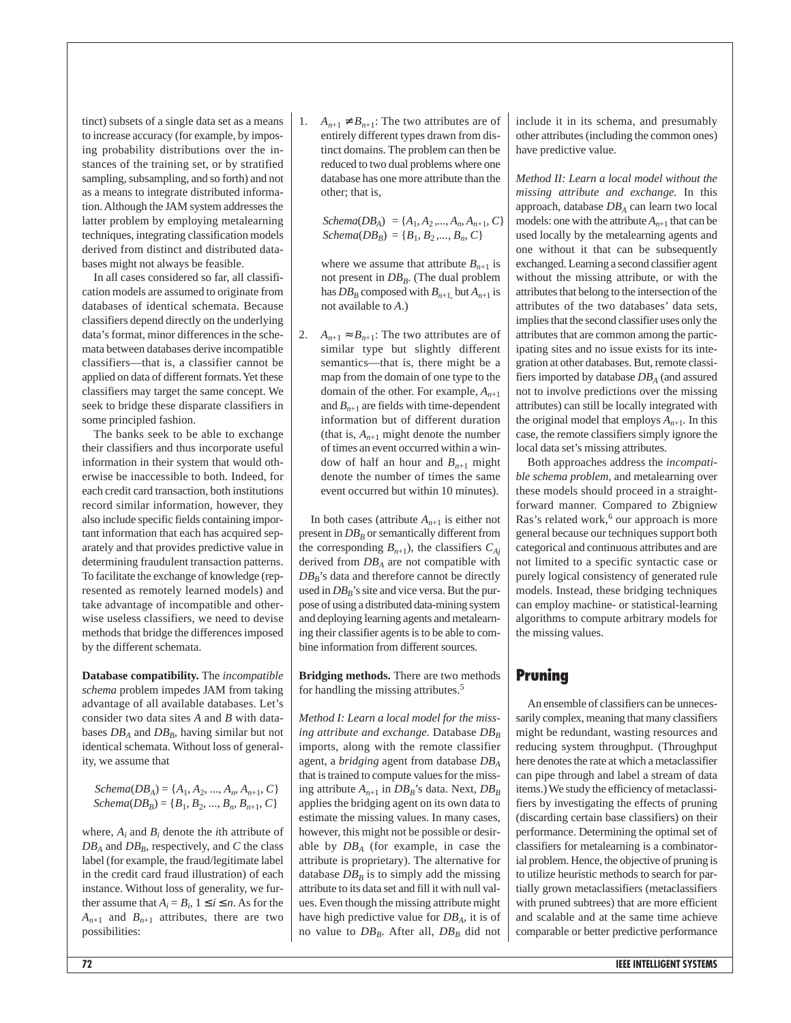tinct) subsets of a single data set as a means to increase accuracy (for example, by imposing probability distributions over the instances of the training set, or by stratified sampling, subsampling, and so forth) and not as a means to integrate distributed information. Although the JAM system addresses the latter problem by employing metalearning techniques, integrating classification models derived from distinct and distributed databases might not always be feasible.

In all cases considered so far, all classification models are assumed to originate from databases of identical schemata. Because classifiers depend directly on the underlying data's format, minor differences in the schemata between databases derive incompatible classifiers—that is, a classifier cannot be applied on data of different formats. Yet these classifiers may target the same concept. We seek to bridge these disparate classifiers in some principled fashion.

The banks seek to be able to exchange their classifiers and thus incorporate useful information in their system that would otherwise be inaccessible to both. Indeed, for each credit card transaction, both institutions record similar information, however, they also include specific fields containing important information that each has acquired separately and that provides predictive value in determining fraudulent transaction patterns. To facilitate the exchange of knowledge (represented as remotely learned models) and take advantage of incompatible and otherwise useless classifiers, we need to devise methods that bridge the differences imposed by the different schemata.

**Database compatibility.** The *incompatible schema* problem impedes JAM from taking advantage of all available databases. Let's consider two data sites *A* and *B* with databases  $DB_A$  and  $DB_B$ , having similar but not identical schemata. Without loss of generality, we assume that

*Schema*( $DB_A$ ) = { $A_1, A_2, ..., A_n, A_{n+1}, C$ }  $Schema(DB<sub>B</sub>) = {B<sub>1</sub>, B<sub>2</sub>, ..., B<sub>n</sub>, B<sub>n+1</sub>, C}$ 

where,  $A_i$  and  $B_i$  denote the *i*th attribute of  $DB_A$  and  $DB_B$ , respectively, and  $C$  the class label (for example, the fraud/legitimate label in the credit card fraud illustration) of each instance. Without loss of generality, we further assume that  $A_i = B_i$ ,  $1 \le i \le n$ . As for the  $A_{n+1}$  and  $B_{n+1}$  attributes, there are two possibilities:

 $A_{n+1} \neq B_{n+1}$ : The two attributes are of entirely different types drawn from distinct domains. The problem can then be reduced to two dual problems where one database has one more attribute than the other; that is,

*Schema*( $DB_A$ ) = { $A_1, A_2, ..., A_m, A_{n+1}, C$ }  $Schema(DB<sub>B</sub>) = {B<sub>1</sub>, B<sub>2</sub>, ..., B<sub>n</sub>, C}$ 

where we assume that attribute  $B_{n+1}$  is not present in  $DB<sub>B</sub>$ . (The dual problem has  $DB_B$  composed with  $B_{n+1}$ , but  $A_{n+1}$  is not available to *A*.)

2. *A<sub>n+1</sub>*  $\approx$  *B<sub>n+1</sub>*: The two attributes are of similar type but slightly different semantics—that is, there might be a map from the domain of one type to the domain of the other. For example,  $A_{n+1}$ and  $B_{n+1}$  are fields with time-dependent information but of different duration (that is,  $A_{n+1}$  might denote the number of times an event occurred within a window of half an hour and  $B_{n+1}$  might denote the number of times the same event occurred but within 10 minutes).

In both cases (attribute  $A_{n+1}$  is either not present in  $DB_B$  or semantically different from the corresponding  $B_{n+1}$ ), the classifiers  $C_{Ai}$ derived from *DBA* are not compatible with  $DB_B$ 's data and therefore cannot be directly used in  $DB_B$ 's site and vice versa. But the purpose of using a distributed data-mining system and deploying learning agents and metalearning their classifier agents is to be able to combine information from different sources.

**Bridging methods.** There are two methods for handling the missing attributes.5

*Method I: Learn a local model for the missing attribute and exchange.* Database  $DB_B$ imports, along with the remote classifier agent, a *bridging* agent from database *DBA* that is trained to compute values for the missing attribute  $A_{n+1}$  in  $DB_B$ 's data. Next,  $DB_B$ applies the bridging agent on its own data to estimate the missing values. In many cases, however, this might not be possible or desirable by *DBA* (for example, in case the attribute is proprietary). The alternative for database  $DB<sub>B</sub>$  is to simply add the missing attribute to its data set and fill it with null values. Even though the missing attribute might have high predictive value for *DBA,* it is of no value to  $DB_B$ . After all,  $DB_B$  did not include it in its schema, and presumably other attributes (including the common ones) have predictive value.

*Method II: Learn a local model without the missing attribute and exchange.* In this approach, database *DBA* can learn two local models: one with the attribute  $A_{n+1}$  that can be used locally by the metalearning agents and one without it that can be subsequently exchanged. Learning a second classifier agent without the missing attribute, or with the attributes that belong to the intersection of the attributes of the two databases' data sets, implies that the second classifier uses only the attributes that are common among the participating sites and no issue exists for its integration at other databases. But, remote classifiers imported by database *DBA* (and assured not to involve predictions over the missing attributes) can still be locally integrated with the original model that employs  $A_{n+1}$ . In this case, the remote classifiers simply ignore the local data set's missing attributes.

Both approaches address the *incompatible schema problem,* and metalearning over these models should proceed in a straightforward manner. Compared to Zbigniew Ras's related work,<sup>6</sup> our approach is more general because our techniques support both categorical and continuous attributes and are not limited to a specific syntactic case or purely logical consistency of generated rule models. Instead, these bridging techniques can employ machine- or statistical-learning algorithms to compute arbitrary models for the missing values.

#### **Pruning**

An ensemble of classifiers can be unnecessarily complex, meaning that many classifiers might be redundant, wasting resources and reducing system throughput. (Throughput here denotes the rate at which a metaclassifier can pipe through and label a stream of data items.) We study the efficiency of metaclassifiers by investigating the effects of pruning (discarding certain base classifiers) on their performance. Determining the optimal set of classifiers for metalearning is a combinatorial problem. Hence, the objective of pruning is to utilize heuristic methods to search for partially grown metaclassifiers (metaclassifiers with pruned subtrees) that are more efficient and scalable and at the same time achieve comparable or better predictive performance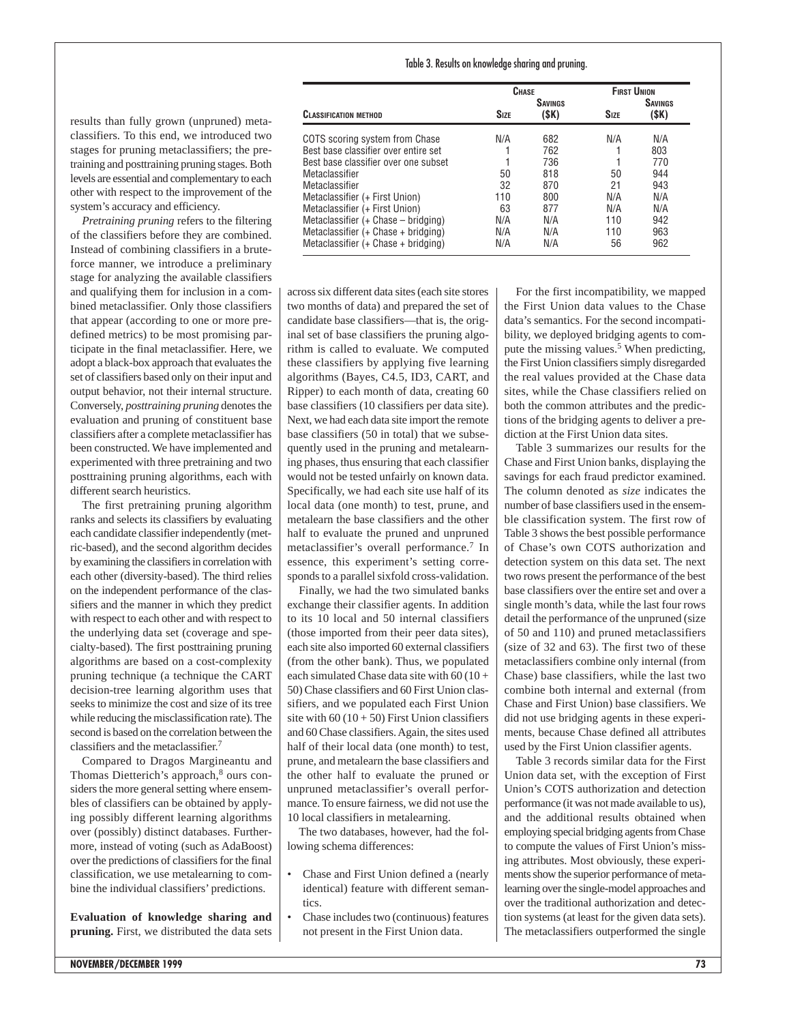#### Table 3. Results on knowledge sharing and pruning.

|                                      | CHASE       |                         | <b>FIRST UNION</b> |                         |
|--------------------------------------|-------------|-------------------------|--------------------|-------------------------|
| <b>CLASSIFICATION METHOD</b>         | <b>SIZE</b> | <b>SAVINGS</b><br>(\$K) | <b>SIZE</b>        | <b>SAVINGS</b><br>(\$K) |
| COTS scoring system from Chase       | N/A         | 682                     | N/A                | N/A                     |
| Best base classifier over entire set |             | 762                     |                    | 803                     |
| Best base classifier over one subset |             | 736                     |                    | 770                     |
| Metaclassifier                       | 50          | 818                     | 50                 | 944                     |
| Metaclassifier                       | 32          | 870                     | 21                 | 943                     |
| Metaclassifier (+ First Union)       | 110         | 800                     | N/A                | N/A                     |
| Metaclassifier (+ First Union)       | 63          | 877                     | N/A                | N/A                     |
| Metaclassifier (+ Chase - bridging)  | N/A         | N/A                     | 110                | 942                     |
| Metaclassifier (+ Chase + bridging)  | N/A         | N/A                     | 110                | 963                     |
| Metaclassifier (+ Chase + bridging)  | N/A         | N/A                     | 56                 | 962                     |

results than fully grown (unpruned) metaclassifiers. To this end, we introduced two stages for pruning metaclassifiers; the pretraining and posttraining pruning stages. Both levels are essential and complementary to each other with respect to the improvement of the system's accuracy and efficiency.

*Pretraining pruning* refers to the filtering of the classifiers before they are combined. Instead of combining classifiers in a bruteforce manner, we introduce a preliminary stage for analyzing the available classifiers and qualifying them for inclusion in a combined metaclassifier. Only those classifiers that appear (according to one or more predefined metrics) to be most promising participate in the final metaclassifier. Here, we adopt a black-box approach that evaluates the set of classifiers based only on their input and output behavior, not their internal structure. Conversely, *posttraining pruning* denotes the evaluation and pruning of constituent base classifiers after a complete metaclassifier has been constructed. We have implemented and experimented with three pretraining and two posttraining pruning algorithms, each with different search heuristics.

The first pretraining pruning algorithm ranks and selects its classifiers by evaluating each candidate classifier independently (metric-based), and the second algorithm decides by examining the classifiers in correlation with each other (diversity-based). The third relies on the independent performance of the classifiers and the manner in which they predict with respect to each other and with respect to the underlying data set (coverage and specialty-based). The first posttraining pruning algorithms are based on a cost-complexity pruning technique (a technique the CART decision-tree learning algorithm uses that seeks to minimize the cost and size of its tree while reducing the misclassification rate). The second is based on the correlation between the classifiers and the metaclassifier.7

Compared to Dragos Margineantu and Thomas Dietterich's approach,<sup>8</sup> ours considers the more general setting where ensembles of classifiers can be obtained by applying possibly different learning algorithms over (possibly) distinct databases. Furthermore, instead of voting (such as AdaBoost) over the predictions of classifiers for the final classification, we use metalearning to combine the individual classifiers' predictions.

**Evaluation of knowledge sharing and pruning.** First, we distributed the data sets across six different data sites (each site stores two months of data) and prepared the set of candidate base classifiers—that is, the original set of base classifiers the pruning algorithm is called to evaluate. We computed these classifiers by applying five learning algorithms (Bayes, C4.5, ID3, CART, and Ripper) to each month of data, creating 60 base classifiers (10 classifiers per data site). Next, we had each data site import the remote base classifiers (50 in total) that we subsequently used in the pruning and metalearning phases, thus ensuring that each classifier would not be tested unfairly on known data. Specifically, we had each site use half of its local data (one month) to test, prune, and metalearn the base classifiers and the other half to evaluate the pruned and unpruned metaclassifier's overall performance.7 In essence, this experiment's setting corresponds to a parallel sixfold cross-validation.

Finally, we had the two simulated banks exchange their classifier agents. In addition to its 10 local and 50 internal classifiers (those imported from their peer data sites), each site also imported 60 external classifiers (from the other bank). Thus, we populated each simulated Chase data site with  $60(10 +$ 50) Chase classifiers and 60 First Union classifiers, and we populated each First Union site with  $60 (10 + 50)$  First Union classifiers and 60 Chase classifiers. Again, the sites used half of their local data (one month) to test, prune, and metalearn the base classifiers and the other half to evaluate the pruned or unpruned metaclassifier's overall performance. To ensure fairness, we did not use the 10 local classifiers in metalearning.

The two databases, however, had the following schema differences:

- Chase and First Union defined a (nearly identical) feature with different semantics.
- Chase includes two (continuous) features not present in the First Union data.

For the first incompatibility, we mapped the First Union data values to the Chase data's semantics. For the second incompatibility, we deployed bridging agents to compute the missing values.<sup>5</sup> When predicting, the First Union classifiers simply disregarded the real values provided at the Chase data sites, while the Chase classifiers relied on both the common attributes and the predictions of the bridging agents to deliver a prediction at the First Union data sites.

Table 3 summarizes our results for the Chase and First Union banks, displaying the savings for each fraud predictor examined. The column denoted as *size* indicates the number of base classifiers used in the ensemble classification system. The first row of Table 3 shows the best possible performance of Chase's own COTS authorization and detection system on this data set. The next two rows present the performance of the best base classifiers over the entire set and over a single month's data, while the last four rows detail the performance of the unpruned (size of 50 and 110) and pruned metaclassifiers (size of 32 and 63). The first two of these metaclassifiers combine only internal (from Chase) base classifiers, while the last two combine both internal and external (from Chase and First Union) base classifiers. We did not use bridging agents in these experiments, because Chase defined all attributes used by the First Union classifier agents.

Table 3 records similar data for the First Union data set, with the exception of First Union's COTS authorization and detection performance (it was not made available to us), and the additional results obtained when employing special bridging agents from Chase to compute the values of First Union's missing attributes. Most obviously, these experiments show the superior performance of metalearning over the single-model approaches and over the traditional authorization and detection systems (at least for the given data sets). The metaclassifiers outperformed the single